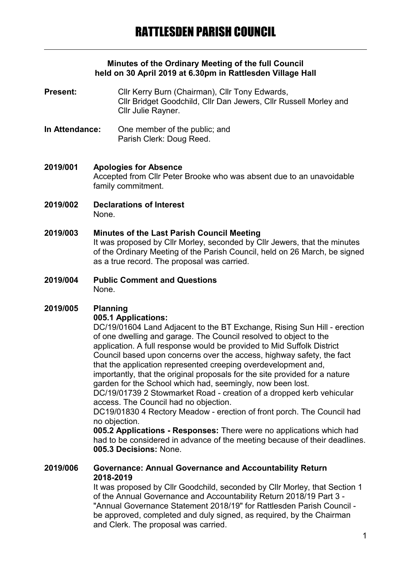### **Minutes of the Ordinary Meeting of the full Council held on 30 April 2019 at 6.30pm in Rattlesden Village Hall**

**Present:** Cllr Kerry Burn (Chairman), Cllr Tony Edwards, Cllr Bridget Goodchild, Cllr Dan Jewers, Cllr Russell Morley and Cllr Julie Rayner.

- **In Attendance:** One member of the public; and Parish Clerk: Doug Reed.
- **2019/001 Apologies for Absence** Accepted from Cllr Peter Brooke who was absent due to an unavoidable family commitment.
- **2019/002 Declarations of Interest** None.

### **2019/003 Minutes of the Last Parish Council Meeting**

It was proposed by Cllr Morley, seconded by Cllr Jewers, that the minutes of the Ordinary Meeting of the Parish Council, held on 26 March, be signed as a true record. The proposal was carried.

**2019/004 Public Comment and Questions** None.

# **2019/005 Planning**

## **005.1 Applications:**

DC/19/01604 Land Adjacent to the BT Exchange, Rising Sun Hill - erection of one dwelling and garage. The Council resolved to object to the application. A full response would be provided to Mid Suffolk District Council based upon concerns over the access, highway safety, the fact that the application represented creeping overdevelopment and, importantly, that the original proposals for the site provided for a nature garden for the School which had, seemingly, now been lost. DC/19/01739 2 Stowmarket Road - creation of a dropped kerb vehicular access. The Council had no objection.

DC19/01830 4 Rectory Meadow - erection of front porch. The Council had no objection.

**005.2 Applications - Responses:** There were no applications which had had to be considered in advance of the meeting because of their deadlines. **005.3 Decisions:** None.

#### **2019/006 Governance: Annual Governance and Accountability Return 2018-2019**

It was proposed by Cllr Goodchild, seconded by Cllr Morley, that Section 1 of the Annual Governance and Accountability Return 2018/19 Part 3 - "Annual Governance Statement 2018/19" for Rattlesden Parish Council be approved, completed and duly signed, as required, by the Chairman and Clerk. The proposal was carried.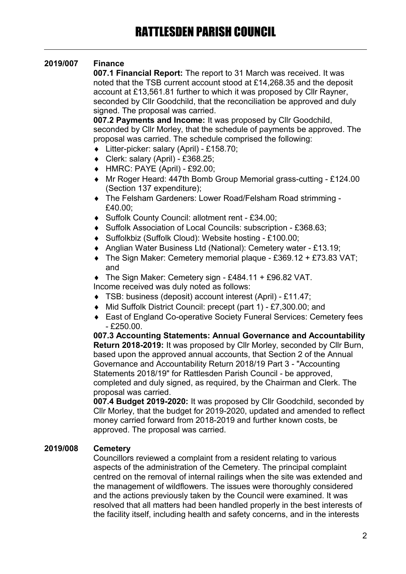# **2019/007 Finance**

**007.1 Financial Report:** The report to 31 March was received. It was noted that the TSB current account stood at £14,268.35 and the deposit account at £13,561.81 further to which it was proposed by Cllr Rayner, seconded by Cllr Goodchild, that the reconciliation be approved and duly signed. The proposal was carried.

**007.2 Payments and Income:** It was proposed by Cllr Goodchild, seconded by Cllr Morley, that the schedule of payments be approved. The proposal was carried. The schedule comprised the following:

- Litter-picker: salary (April) £158.70;
- Clerk: salary (April) £368.25;
- HMRC: PAYE (April) £92.00;
- Mr Roger Heard: 447th Bomb Group Memorial grass-cutting £124.00 (Section 137 expenditure);
- The Felsham Gardeners: Lower Road/Felsham Road strimming £40.00;
- ◆ Suffolk County Council: allotment rent £34.00;
- ◆ Suffolk Association of Local Councils: subscription £368.63:
- Suffolkbiz (Suffolk Cloud): Website hosting £100.00;
- Anglian Water Business Ltd (National): Cemetery water £13.19;
- $\bullet$  The Sign Maker: Cemetery memorial plaque £369.12 + £73.83 VAT; and
- The Sign Maker: Cemetery sign £484.11 + £96.82 VAT. Income received was duly noted as follows:
- TSB: business (deposit) account interest (April) £11.47;
- Mid Suffolk District Council: precept (part 1) £7,300.00; and
- East of England Co-operative Society Funeral Services: Cemetery fees  $-$ £250.00.

**007.3 Accounting Statements: Annual Governance and Accountability Return 2018-2019:** It was proposed by Cllr Morley, seconded by Cllr Burn, based upon the approved annual accounts, that Section 2 of the Annual Governance and Accountability Return 2018/19 Part 3 - "Accounting Statements 2018/19" for Rattlesden Parish Council - be approved, completed and duly signed, as required, by the Chairman and Clerk. The proposal was carried.

**007.4 Budget 2019-2020:** It was proposed by Cllr Goodchild, seconded by Cllr Morley, that the budget for 2019-2020, updated and amended to reflect money carried forward from 2018-2019 and further known costs, be approved. The proposal was carried.

### **2019/008 Cemetery**

Councillors reviewed a complaint from a resident relating to various aspects of the administration of the Cemetery. The principal complaint centred on the removal of internal railings when the site was extended and the management of wildflowers. The issues were thoroughly considered and the actions previously taken by the Council were examined. It was resolved that all matters had been handled properly in the best interests of the facility itself, including health and safety concerns, and in the interests